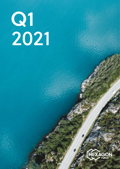# 2021 Q1

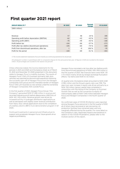## **First quarter 2021 report**

| <b>GROUP RESULTS 1)</b>                           | Q1 2021      | Q1 2020 | <b>Percent</b><br>change | 31.12.2020 |
|---------------------------------------------------|--------------|---------|--------------------------|------------|
| (NOK million)                                     |              |         |                          |            |
|                                                   |              |         |                          |            |
|                                                   |              |         |                          |            |
| Revenue                                           | 57           | 48      | 19 %                     | 180        |
| Operating profit before depreciation (EBITDA)     | $-62$        | $-43$   | $-43%$                   | $-141$     |
| Operating profit (EBIT)                           | $-70$        | $-49$   | $-43%$                   | $-168$     |
| Profit before tax                                 | $-104$       | -66     | $-57$ %                  | $-273$     |
| Profit after tax (before discontinued operations) | $-105$       | $-60$   | $-74%$                   | $-308$     |
| Profit from discontinued operations, after tax    | $\mathbf{1}$ | $-9$    | $106 \%$                 | $-35$      |
| Profit for the period                             | $-104$       | -69     | $-51 \%$                 | $-343$     |

1) The income statement represents Purus/e-mobility as continuing operations for all periods

All subsequent numbers in parentheses refer to comparative figures for the same period last year. All figures in NOK are rounded to the nearest million. All percentages are rounded to the nearest one percent.

Unless otherwise stated, the income statements for the periods in 2021 and 2020 and the balance sheet as of March 31, 2021 and December 31, 2020 presented in this document relate to Hexagon Purus' e-mobility business. The results of Hexagon Purus' CNG LDV business (primarily light duty vehicles) are reported as discontinued operations following the successful spin-off of Hexagon Purus from the Hexagon Composites ASA group and the intended transfer of Hexagon Purus' CNG LDV business to new entities underthe ownership of Hexagon Composites ASA outside Purus.

In the first quarter of 2021, Hexagon Purus Group ("the Company") generated NOK 57 (48) million in revenue and recorded operating profit before depreciation (EBITDA) of NOK -62 (-43) million. Revenue growth was driven by increased activity in hydrogen distribution applications as well as aerospace with slightly lower revenue contribution from heavy duty vehicle applications due to the completion of a battery electric (BEV) truck demonstration program in Q1 2020.

Continued investments in personnel and infrastructure to support and accelerate Hexagon Purus' future growth drive negative profitability.

Hexagon Purus recorded a net loss after tax (before profit from discontinued operations) of NOK -105 (-60) million in the first quarter of 2021. Net financial items were NOK -33 (-17) million mainly driven by foreign exchange fluctuation effects. Tax items were NOK 0 (-6) million.

At quarter-end, the balance sheet amounted to NOK 2,061 (1,136) million and the Group's equity ratio was 74%. The year-over-year increase in equity was driven primarily by a NOK 750 million (gross) capital raise completed in conjunction with the listing of the Company on Euronext Growth Oslo as well as the conversion to equity of intercompany debt of NOK 1 340 million between Hexagon Purus and Hexagon Composites in the fourth quarter of 2020.

Six confirmed cases of COVID-19 infection were reported among Hexagon Purus personnel in the first quarter of 2021, all of whom have recovered or are recovering. All production facilities have remained open and only marginally affected during the quarter. For more detail on the Company's risks, responses,impacts and resilience in relation to the COVID-19 pandemic, please refer to the Outlook section of this report.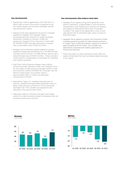#### **Key developments**

- Signed joint venture agreements with CIMC Enric in March 2021 to enter China which is expected to be the world's largest zero emission hydrogen vehicle and distribution market
- Signed a multi-year agreement (as part of a broader agreement together with Hexagon Agility encompassing CNG solutions) to supply hydrogen distribution modules to Certarus. Under the agreement, Hexagon Purus received an initial order for SMARTSTORE® hydrogen distribution modules with an estimated value of USD 3.2 million
- Hexagon Purus received multiple orders for several leading European gas distributors for X-STORE 300 bar cylinders and for its new X-STORE 381 bar version with a total estimated value of EUR 1.9 million. These cylinders will be used for transportation of hydrogen for industrial and mobility purposes
- New Flyer, North America's largest mass mobility solutions provider, placed an order with Hexagon Purus for the supply of high-pressure hydrogen tanks for their zero-emission Xcelsior CHARGE H2™ hydrogen fuel cell electric transit buses. The contract value is approximately NOK 7.7 million and deliveries commenced in Q1 2021
- Selected by Talgo S.A., a leading manufacturer of intercity, standard and high-speed passenger trains, to deliver high pressure cylinders for its first prototype hydrogen train. The cylinders are expected to be delivered in the second half of 2021
- Selected to deliver a 700 bar hydrogen fuel storage system for a demonstration project to develop a fuel cell powered construction machine

#### **Key developments after balance sheet date**

- Hexagon Purus signed a long-term agreement with Nikola Corporation, a global leader in zero-emissions transportation and infrastructure solutions to develop and supply its high-performance type 4 hydrogen cylinders. The scope of the agreement is over a multiyear period with an estimated sales value in excess of EUR 200 million
- Hexagon Purus signed a contract with Wystrach GmbH, a leading systems provider for high pressure solutions, to supply Type 4, 300 bar pressure vessels at a value of approximately EUR 2.5 million. The cylinders are destined for industrial and mobility applications in France and Germany.
- There have been no other significant events after the balance sheet date that have not already been disclosed in this report.



**Revenue** NOK million

**EBITDA** NOK million

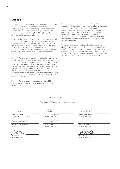#### **Outlook**

The momentum for zero emissions solutions powered by Hexagon Purus' product offering and capabilities continues to grow as evidenced by recent commercial success across a wide spectrum of applications with customers such as Certarus, New Flyer, Nikola, Talgo and large industrial gas companies.

Following the signing of the joint venture agreements with CIMC Enric to enter the Chinese and Southeast Asian markets, both parties continue to progress discussions and activities towards a successful close and joint venture formation in 2021. The Chinese market for Fuel Cell Electric Vehicles (FCEVs) is expected to grow to become the largest global market over the next decade and beyond.

Hexagon Purus is taking the steps needed to transition to a high volume manufacturer as it gears up for start of serial production for its Northeast Asian light duty vehicle OEM customer and Nikola over the near-to-medium term in addition to readying itself for expected market demand in North America, Europe and China across mobility applications. As such, continued investments in personnel, production capacity, product development and R&D will continue to impact profitability and cash flow for the foreseeable future.

Hexagon Purus expects to achieve more than 50% revenue growth year-over-year and EBITDA losses to widen in 2021.

Hexagon Purus is closely monitoring the COVID-19 situation and has prepared contingency plans at each site. The pandemic has made global supply chains more uncertain and has extended the lead times for certain components, including battery cells. The Company is not able to accurately predict the final outcome from COVID-19 related effects but will remain vigilant and committed to employing further counter measures to mitigate such effects, if required.

These forward-looking statements reflect current views about future events and are, by their nature, subject to significant risks and uncertainties because they relate to events and depend on circumstances that will occur in the future. For further information please refer to the section "Forward-Looking Statements" at the end of this report.

Oslo, 10 May 2021

The Board of Directors of Hexagon Purus ASA

. Into Lyon

Jon Erik Engeset Chairman of the Board

Nantha Kold Bakke

Martha Kold Bakkevig Board member

Morten Holum

President & CEO

Espen Gundersen Board member

Rick Rashilla Board member

Jamillo Uilla

Jannicke Hilland Board member

Karen Romer Board member

Knut Flakk Board member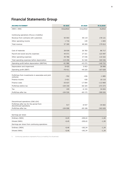# **Financial Statements Group**

| <b>INCOME STATEMENT</b>                                              | <b>Q1 2021</b> | <b>Q1 2020</b> | 31.12.2020 |
|----------------------------------------------------------------------|----------------|----------------|------------|
| (NOK 1 000)                                                          | Unaudited      | Unaudited      | Audited    |
|                                                                      |                |                |            |
| Continuing operations (Purus e-mobility)                             |                |                |            |
| Revenue from contracts with customers                                | 55 593         | 48 119         | 178 121    |
| Other operating income                                               | 1 7 1 6        | 149            | 1 6 9 3    |
| Total revenue                                                        | 57 309         | 48 269         | 179 814    |
|                                                                      |                |                |            |
| Cost of materials                                                    | 28 939         | 26 783         | 86 717     |
| Payroll and social security expenses                                 | 44 571         | 27 321         | 123 497    |
| Other operating expenses                                             | 45 786         | 37 436         | 110 322    |
| Total operating expenses before depreciation                         | 119 296        | 91 540         | 320 536    |
| Operating profit before depreciation (EBITDA)                        | $-61986$       | $-4322$        | $-140$ 722 |
| Depreciation and impairment                                          | 8 4 2 5        | 5953           | 26 906     |
| Operating profit (EBIT)                                              | $-70411$       | $-49225$       | $-167628$  |
|                                                                      |                |                |            |
| Profit/loss from investments in associates and joint<br>ventures     | $-702$         | $-436$         | $-1885$    |
| Finance income                                                       | 2 4 2 1        | 430            | 10 110     |
| Finance costs                                                        | $-35637$       | $-17094$       | $-113969$  |
| Profit/loss before tax                                               | $-104330$      | $-66325$       | $-273373$  |
| Tax                                                                  | 195            | $-6$ 153       | 34 654     |
| Profit/loss after tax                                                | $-104526$      | $-60$ 172      | $-308026$  |
|                                                                      |                |                |            |
|                                                                      |                |                |            |
| Discontinued operations (CNG LDV)                                    |                |                |            |
| Profit/loss after tax for the period from<br>discontinued operations | 517            | $-8937$        | $-34602$   |
| Profit/loss after tax                                                | $-104008$      | $-69108$       | $-342628$  |
|                                                                      |                |                |            |
| Earnings per share                                                   |                |                |            |
| Ordinary (NOK)                                                       | $-0,45$        | $-209,42$      | $-1,50$    |
| Diluted (NOK)                                                        | $-0,45$        | $-209,42$      | $-1,50$    |
| Earnings per share from continuing operations                        |                |                |            |
| Ordinary (NOK)                                                       | $-0,46$        | $-182,34$      | $-1,34$    |
| Diluted (NOK)                                                        | $-0,46$        | $-182,34$      | $-1,34$    |

1) Continuing operations represents Purus (e-mobility) for all periods)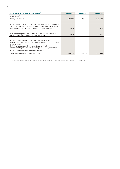| <b>COMPREHENSIVE INCOME STATEMENT D</b>                                                                                                                                                                                                           | 31.03.2021 | 31.03.2020 | 31.12.2020 |
|---------------------------------------------------------------------------------------------------------------------------------------------------------------------------------------------------------------------------------------------------|------------|------------|------------|
| (NOK 1 000)                                                                                                                                                                                                                                       |            |            |            |
| Profit/loss after tax                                                                                                                                                                                                                             | $-104008$  | $-69108$   | $-342628$  |
|                                                                                                                                                                                                                                                   |            |            |            |
| OTHER COMPREHENSIVE INCOME THAT MAY BE RECLASSIFIED<br>TO PROFIT OR LOSS IN SUBSEQUENT PERIODS (NET OF TAX)                                                                                                                                       |            |            |            |
| Exchange differences on translation of foreign operations                                                                                                                                                                                         | 4 6 3 8    |            | 12 675     |
|                                                                                                                                                                                                                                                   |            |            |            |
| Net other comprehensive income that may be reclassified to<br>profit or loss in subsequent periods, net of tax                                                                                                                                    | 4 6 3 8    |            | 12 675     |
| OTHER COMPREHENSIVE INCOME THAT WILL NOT BE<br>RECLASSIFIED TO PROFIT OR LOSS IN SUBSEQUENT PERIODS<br>(NET OF TAX)<br>Net other comprehensive income/(loss) that will not be<br>reclassified to profit or loss in subsequent periods, net of tax |            |            |            |
| Other comprehensive income/loss, net for tax                                                                                                                                                                                                      |            |            |            |
| Total comprehensive income, net of tax                                                                                                                                                                                                            | $-99370$   | $-69108$   | $-329954$  |

1) The comprehensive income statement is presented including CNG LDV (discontinued operations) for all periods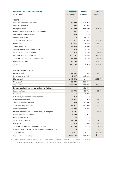| <b>STATEMENT OF FINANCIAL POSITION 1)</b>                     | 31.03.2021     | 31.03.2020    | 31.12.2020      |
|---------------------------------------------------------------|----------------|---------------|-----------------|
| (NOK 1 000)                                                   | Unaudited      | Unaudited     | Audited         |
|                                                               |                |               |                 |
| <b>ASSETS</b>                                                 |                |               |                 |
| Property, plant and equipment                                 | 84 080         | 130 059       | 76 634          |
| Right-of-use assets                                           | 33 003         | 57 083        | 30 457          |
| Intangible assets                                             | 397 009        | 545 609       | 415 097         |
| Investment in associates and joint ventures                   | 2 0 6 4        | 215           | 2 0 6 6         |
| Non-current financial assets                                  | 1 260          | 160           | 751             |
| Deferred tax assets                                           | $\overline{0}$ | 48 762        | $\Omega$        |
| Total non-current assets                                      | 517 417        | 781 888       | 525 005         |
| Inventories                                                   | 93 843         | 139 480       | 61 586          |
| Trade receivables                                             | 44 540         | 139 863       | 26 657          |
| Contract assets (incl. prepayments)                           | 370            | 6 2 9 3       | 814             |
| Other current financial assets                                | 31 074         | 18 105        | 14 440          |
| Cash and short-term deposits                                  | 1 091 167      | 50 400        | 1 246 351       |
| Total current assets continuing operation                     | 1 260 993      | 354 140       | 1 349 849       |
| Assets held for sale                                          | 282 789        | 0             | 219 771         |
| Total assets                                                  | 2 061 199      | 1 136 028     | 2 0 9 4 6 2 5   |
|                                                               |                |               |                 |
| EQUITY AND LIABILITIES                                        |                |               |                 |
| Issued capital                                                | 22 909         | 330           | 22 909          |
| Other paid-in capital                                         | 2 2 4 7        | 115 100       | 372             |
| Share premium                                                 | 1 605 802      | 14 443        | 1 605 739       |
| Other equity                                                  | $-99370$       | -327 968      | $\Omega$        |
| Total equity                                                  | 1 531 588      | -198 094      | 1 629 021       |
| Interest-bearing loans and borrowings, related party          | $\overline{0}$ | 681 363       | $\Omega$        |
| Lease liabilities                                             | 11 732         | 53 324        | 21 795          |
| Provisions                                                    | 3              | 1880          | 3               |
| Net employee defined benefit liabilities                      | 259            | 2 4 1 9       | 2 6 3 5         |
| Deferred tax liabilities                                      | 10 244         | 22 910        | 11 0 24         |
| Total non-current liabilities                                 | 22 239         | 761 897       | 35 457          |
| Trade and other payables                                      | 69 261         | 197 009       | 83 988          |
| Contract liabilities                                          | 44 027         | 8 2 8 7       | 32 068          |
| Interest-bearing loans and borrowings, related party          | 179 501        |               | 161 016         |
| Lease liabilities, short term                                 | 20 599         | 13 937        | 9 2 4 4         |
| Income tax payable                                            | 26             | 0             | 0               |
| Other current liabilities                                     | 48 750         | 331 146       | 49 512          |
| Provisions                                                    | 23 0 29        | 21 845        | 17 162          |
| Total current liabilities continuing operation                | 385 193        | 572 225       | 352 990         |
| Liabilities directly associated with the assets held for sale | 122 179        | 0             | 77 158          |
| <b>Total liabilities</b>                                      | 529 611        | 1 3 3 4 1 2 2 | 465 604         |
| Total equity and liabilities                                  | 2 061 199      | 1 136 028     | 2<br>094<br>625 |

1) In the statement of financial position CNG LDV (discontinued operations) is presented as held for sale as of 31 March 2021 and 31 Dec 2020. As of 31 March, 2020 CNG LDV is reported as part of the continuing operation.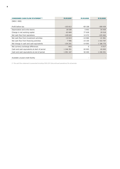| <b>CONDENSED CASH FLOW STATEMENT 1)</b>      | 31.03.2021 | 31.03.2020 | 31.12.2020 |
|----------------------------------------------|------------|------------|------------|
| (NOK 1 000)                                  |            |            |            |
|                                              |            |            |            |
| Profit before tax                            | $-103813$  | $-69108$   | $-309$ 439 |
| Depreciation and write-downs                 | 18 0 38    | 5953       | 54 459     |
| Change in net working capital                | $-63849$   | 77 628     | 29 518     |
| Net cash flow from operations                | $-149624$  | 14 472     | $-225462$  |
| Net cash flow from investment activities     | $-12613$   | $-14066$   | $-21561$   |
| Net cash flow from financing activities      | 7996       | $-15100$   | 1 433 797  |
| Net change in cash and cash equivalents      | $-154241$  | $-14693$   | 1 186 775  |
| Net currency exchange differences            | $-943$     | 0          | $-5517$    |
| Cash and cash equivalents at start of period | 1 246 351  | 65 093     | 65 093     |
| Cash and cash equivalents at end of period   | 1 091 167  | 50 400     | 1 246 351  |
|                                              |            |            |            |
| Available unused credit facility             |            |            |            |

1) The cash flow statement is presented including CNG LDV (discontinued operations) for all periods.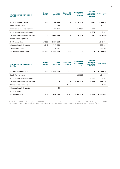| <b>STATEMENT OF CHANGES IN</b><br><b>EQUITY</b> | <b>Issued</b><br>capital | <b>Share</b><br>premium | <b>Other paid-</b><br>in capital | <b>Other equity</b><br>and retained<br>earnings | <b>Foreign</b><br><b>currency</b><br>translation<br><b>reserve</b> | <b>Total equity</b> |
|-------------------------------------------------|--------------------------|-------------------------|----------------------------------|-------------------------------------------------|--------------------------------------------------------------------|---------------------|
|                                                 |                          |                         |                                  |                                                 |                                                                    |                     |
| As at 1 January 2020                            | 330                      | 14 4 43                 | $\mathbf{o}$                     | $-118632$                                       | $-957$                                                             | $-104816$           |
| Profit for the period                           |                          | -342 628                |                                  |                                                 |                                                                    | $-342628$           |
| Transferred to share premium                    |                          | $-106915$               |                                  | 118 632                                         | $-11717$                                                           | $\Omega$            |
| Other comprehensive income                      |                          |                         |                                  |                                                 | 12 674                                                             | 12 674              |
| <b>Total comprehensive income</b>               | $\mathbf{o}$             | $-449543$               | $\mathbf{o}$                     | 118 632                                         | 957                                                                | -329 954            |
| Share-based payments                            |                          |                         | 372                              |                                                 |                                                                    | 372                 |
| Debt conversion                                 | 19832                    | 1 320 168               |                                  |                                                 |                                                                    | 1 340 000           |
| Changes in paid-in capital                      | 2 747                    | 747 253                 |                                  |                                                 |                                                                    | 750 000             |
| <b>Transaction costs</b>                        |                          | $-26582$                |                                  |                                                 |                                                                    | $-26582$            |
| At 31 December 2020                             | 22 909                   | 1 605 739               | 372                              | 0                                               | $\mathbf{o}$                                                       | 1 629 020           |

| <b>STATEMENT OF CHANGES IN</b><br><b>EQUITY</b> | <b>Issued</b><br>capital | <b>Share</b><br>premium | <b>Other paid-</b><br>In capital | <b>Other equity</b><br>and retained<br>earnings | <b>Foreign</b><br><b>currency</b><br>translation<br><b>reserve</b> | <b>Total equity</b> |
|-------------------------------------------------|--------------------------|-------------------------|----------------------------------|-------------------------------------------------|--------------------------------------------------------------------|---------------------|
| As at 1 January 2021                            | 22 909                   | 1 605 739               | 372                              | $\mathbf 0$                                     | $\mathbf 0$                                                        | 1 629 020           |
| Profit for the period                           |                          |                         |                                  | $-104008$                                       |                                                                    | $-104008$           |
| Other comprehensive income                      |                          |                         |                                  |                                                 | 4 6 3 8                                                            | 4 6 3 8             |
| <b>Total comprehensive income</b>               | 0                        | $\mathbf 0$             | $\mathbf 0$                      | $-104008$                                       | 4 638                                                              | -99 370             |
| Share-based payments                            |                          |                         | 1875                             |                                                 |                                                                    | 1875                |
| Changes in paid-in capital                      |                          | 63                      |                                  |                                                 |                                                                    | 63                  |
| Other changes                                   |                          |                         |                                  |                                                 |                                                                    | 0                   |
| <b>At 31 March 2021</b>                         | 22 909                   | 1605802                 | 2 2 4 7                          | $-104008$                                       | 4 638                                                              | 1 531 588           |

On 30 October 2020 the Company issued 201 289 712 new shares in a share split and debt conversion. On 9 December 2020 the Company issued 27472<br>527 new shares in a private placement at the price of NOK 27.30 per share. The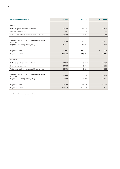| <b>BUSINESS SEGMENT DATA</b>                             | <b>Q1 2021</b> | <b>Q1 2020</b> | 31.12.2020 |
|----------------------------------------------------------|----------------|----------------|------------|
|                                                          |                |                |            |
| <b>PURUS</b>                                             |                |                |            |
| Sales of goods external customers                        | 50 756         | 48 186         | 178 121    |
| Internal transactions                                    | 6 5 5 3        | 83             | 1 6 9 3    |
| Total revenue from contracts with customers              | 57 309         | 48 269         | 179 814    |
|                                                          |                |                |            |
| Segment operating profit before depreciation<br>(EBITDA) | $-61986$       | $-4322$        | $-140$ 722 |
| Segment operating profit (EBIT)                          | $-70.411$      | $-49225$       | $-167628$  |
|                                                          |                |                |            |
| Segment assets                                           | 1 260 993      | 883 565        | 1 874 854  |
| Segment liabilities                                      | 407 432        | 1 159 949      | 388 446    |
|                                                          |                |                |            |
| CNG LDV $1$ )                                            |                |                |            |
| Sales of goods external customers                        | 32 973         | 43 607         | 189 202    |
| <b>Internal transactions</b>                             | 29 898         | 5 6 1 1        | 3 601      |
| Total revenue from contract with customers               | 62 871         | 49 219         | 192 802    |
|                                                          |                |                |            |
| Segment operating profit before depreciation<br>(EBITDA) | 10 640         | $-1242$        | $-8932$    |
| Segment operating profit (EBIT)                          | 1 588          | $-9237$        | $-36486$   |
|                                                          |                |                |            |
| Segment assets                                           | 282 789        | 218 196        | 219 771    |
| Segment liabilities                                      | 122 179        | 132 500        | 77 158     |

1) CNG LDV is reported as discontinued operation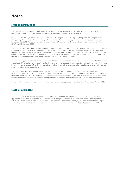## **Notes**

## **Note 1: Introduction**

The condensed consolidated interim financial statements for the first quarter 2021, which ended 31 March 2021, comprise Hexagon Purus ASA and its subsidiaries (together referred to as "the Group").

Hexagon Purus ASA (previously Hexagon Purus AS and Hexagon Purus Holding AS), the parent of Hexagon Purus Group, is a public limited liability company with its registered office in Norway. The company's headquarters are at Korsegata 4B, 6002 Aalesund, Norway. Hexagon Purus ASA was listed on Euronext Growth, Oslo, under the ticker HPUR on 14 December 2020.

These condensed consolidated interim financial statements have been prepared in accordance with International Financial Reporting Standard (IFRS), IAS 34 Interim Financial Reporting. They do not include all of the information required for full annual financial statements and should be read in conjunction with the interim consolidated financial statements of the Group for the full year 2020 which ended 31 December 2020. For a more detailed description of accounting principles see the consolidated financial statements for the year ended 31 December 2020.

The accounting principles used in the preparation of these interim accounts are the same as those applied to the annual consolidated financial statements referred to above. Where relevant, additional accounting principles are included in this interim quarter one report. The Group has not early adopted any other standard, interpretation or amendment that has been issued but is not yet effective.

The coronavirus has had a modest impact on our business in the first quarter of 2021 with six confirmed cases in our facilities. No significant disruption to activities was experienced. The effects are described in more detail in the Board of Director's report for Q1 2021. We have concluded that so far as we can see at the time of preparation and resolution of these interim accounts, there is no need for impairments to balance sheet items as a result of the global pandemic.

These condensed consolidated interim financial statements were approved by the Board of Directors on 10 May 2021.

### **Note 2: Estimates**

The preparation of the interim accounts entails the use of valuations, estimates and assumptions that affect the application of the accounting policies and the amounts recognized as assets and liabilities, income and expenses. The actual results may deviate from these estimates. The material assessments underlying the application of the Group's accounting policy and the main sources of uncertainty are the same as for the consolidated accounts for 2020.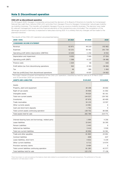## **Note 3: Discontinued operation**

#### **CNG LDV as discontinued operation**

On 19 August 2020, Hexagon Composites announced the decision of its Board of Directors to transfer its Compressed Natural Gas Light Duty Vehicle (CNG LDV) activities from Hexagon Purus to Hexagon Composites' natural gas-mobility (g-mobility) business. This transfer will establish Hexagon Purus as a pure e-mobility business. The decision was made by relevant management levels and the financial elements of the transactions are concluded. The completion of the demerger process in Germany is expected to take place during 2021. It is unlikely that any changes will be made to the planned transition.

The results of the CNG LDV operation are presented below.

| (NOK 1000)                                          | Q1 2021 | Q1 2020  | 2020     |
|-----------------------------------------------------|---------|----------|----------|
| <b>CONDENSED INCOME STATEMENT</b>                   |         |          |          |
| Revenue                                             | 62 871  | 49 219   | 192 802  |
| Expenses                                            | 52 231  | 50 461   | 201 734  |
| Operating profit before depreciation (EBITDA)       | 10 640  | $-1242$  | $-8932$  |
| Depreciation and impairment                         | 9 0 5 2 | 7995     | 27 554   |
| Operating profit (EBIT)                             | 1 5 8 8 | $-9237$  | $-36486$ |
| Finance costs                                       | 1 0 2 5 | 66       | $-420$   |
| Profit before tax from discontinuing operations     | 563     | $-9.303$ | $-36066$ |
| Tax                                                 | 46      | -366     | 1 4 6 4  |
| Post-tax profit/(loss) from discontinued operations | 517     | $-8937$  | $-34602$ |

 The major classes of assets and liabilities of the CNG LDV operation, classified as held for sale as of 31 March 2021 and 31 December 2020 are presented below.

| <b>ASSETS AND LIABILITIES</b>                        | 31.03.2021 | 31.12.2020 |
|------------------------------------------------------|------------|------------|
| Assets                                               |            |            |
| Property, plant and equipment                        | 30 10 6    | 26 602     |
| Right-of-use assets                                  | 35 906     | 31 002     |
| Intangible assets                                    | 78 025     | 82 161     |
| Total non-current assets                             | 144 037    | 139 765    |
| Inventories                                          | 87 876     | 60 409     |
| Trade receivables                                    | 34 133     | 19 597     |
| Other currents assets                                | 14 981     | 0          |
| Cash and short-term deposits                         | 1 7 6 2    | 0          |
| Total current assets continuing operation            | 138 752    | 80 006     |
| Total assets held for sale                           | 282 789    | 219 771    |
|                                                      |            |            |
| Interest-bearing loans and borrowings, related party | 1 9 9 9    | 4 2 5 6    |
| Lease liabilities                                    | 33 043     | 26 395     |
| Penson Liabilities                                   | 2 4 4 3    | 0          |
| Deferred tax liabilities                             | 3 4 1 0    | 3 9 3 0    |
| Total non-current liabilities                        | 40 896     | 34 581     |
| Trade and other payables                             | 61 863     | 23 001     |
| Contract liabilities                                 | $-608$     | $-637$     |
| Lease liabilities, short term                        | 4 8 3 2    | 5 2 3 9    |
| Other current liabilities                            | 6 7 1 2    | 14 974     |
| Provision warranty claims                            | 8 4 8 4    | 0          |
| Total current liabilities continuing operation       | 81 283     | 42 577     |
| Total liabilities held for sale                      | 122 179    | 77 158     |

There have been no cash proceeds at the balance sheet date related to accomplishment of the sale transactions. The settlement of the sale transaction will take place in 2021.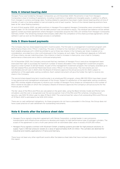### **Note 4: Interest-bearing debt**

Hexagon Purus was funded by Hexagon Composites up until December 2020. Movements in loan from Hexagon Composites is due to funding of operations, including investments in tangible and intangible assets, in addition to effects from changes in currency exchange rates. Funding related to operations have been made interest bearing either at time of transfer of cash or by being added to loan principal by end of each quarter. Terms of the interest-bearing positions have been at fair value floating quarterly.

At end of third quarter 2020, net debt positions in Hexagon Purus against Hexagon Composites were converted to interest bearing debt. On 30 October 2020, the net debt position was converted to equity. The residual loan balance will be settled against a share purchase agreement where Hexagon Composites acquires the CNG LDV entities from Hexagon Composites Germany GmbH. The remaining residual intercompany debt after the completion of this share purchase agreement, will be settled in cash as soon as the demerger process is completed.

#### **Note 5: Share-based payments**

The Company has two share-based long-term incentive plans. The first plan is a management investment program with Performance Share Units ("PSUs") matching. This plan is limited to five members of the executive management team. Each eligible employee will in 2024 be entitled to up to three new shares in the Company per share invested, at no consideration, provided he or she is still employed in the Company at such date. The entitlement depends on fulfilment of three criteria, one per matching share. One criterion is tied to increase in share price, one is tied to Company performance criteria and one is tied to continued employment.

On 14 December 2020, the Company announced that key members of Hexagon Purus' executive management team exercised their right to purchase the maximum number of shares allowable in the management investment program, equal to a total number of 210 621 shares. As part of this management investment program, the Company awarded up to 421 242 related PSUs and 210 621 Restricted Stock Units ("RSUs") to the executives. The instruments are nontransferable and will vest in 2024 when the Board of Directors approve the annual accounts for 2023, subject to satisfaction of the applicable vesting conditions. Each vested instrument will give the holder the right to receive one share in the Company.

The second share-based long term incentive plan is an employee RSU program, where 496 000 RSUs have been issued to key personnel and management employees of the Group. Subject to satisfaction of the applicable vesting conditions, each RSU entitles eligible employees to receive such number of Hexagon Purus shares as corresponds to the number of RSUs vested at the date on which the Company's Board of Directors approves the Company's annual accounts for the financial year of 2023.

The fair value of the RSUs and PSUs are calculated on the grant date, using the Black-Scholes model and Monte Carlo simulation, and the cost is recognized over the service period. Cost of the RSU and PSU schemes, including social security, was NOK 19 million year-to-date 31 March 2021. The unamortized fair value of all outstanding RSUs and PSUs as of 31 March 2021 is estimated to be NOK 22.9 million.

There are no cash settlement obligations. As these programs do not have a precedent in the Group, the Group does not have a past practice of cash settlement for outstanding instruments.

#### **Note 6: Events after the balance sheet date**

- Hexagon Purus signed a long-term agreement with Nikola Corporation, a global leader in zero-emissions transportation and infrastructure solutions to develop and supply its high-performance type 4 hydrogen cylinders. The scope of the agreement is over a multi-year period with an estimated sales value in excess of EUR 200 million.
- Hexagon Purus signed a contract with Wystrach GmbH, a leading systems provider for high pressure solutions, to supply Type 4, 300 bar pressure vessels at a value of approximately EUR 2.5 million. The cylinders are destined for industrial and mobility applications in France and Germany.

There have not been any other significant events after the balance sheet date that have not been previously disclosed in this report.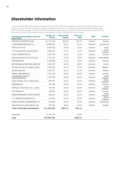# **Shareholder information**

A total of 33 910 636 (n.a.) shares in Hexagon Purus ASA (HPUR) were traded on Euronext Growth Oslo during first quarter of 2021. The total number of shares in Hexagon Purus ASA as of 31 March 2021 was 229 092 239 (par value NOK 0.10). In the quarter, the share price moved between NOK 40.9 and NOK 82.1, ending the quarter at NOK 51.8. The price as of 31 March 2021 implies a market capitalization of NOK 11.9 billion for the Company.

| 20 largest shareholders as per 31<br><b>March 2021</b> | <b>Number of</b><br>shares | <b>Share of 20</b><br>largest | <b>Share of</b><br>total | <b>Type</b> | <b>Country</b>       |
|--------------------------------------------------------|----------------------------|-------------------------------|--------------------------|-------------|----------------------|
| <b>HEXAGON COMPOSITES ASA</b>                          | 171 211 922                | 81,0%                         | 74,7 %                   | Ordinary    | Norway               |
| CLEARSTREAM BANKING S.A.                               | 10 659 427                 | 5,0 %                         | 4,7%                     | Nominee     | Luxembourg           |
| <b>MITSUI &amp; CO LTD</b>                             | 5 204 029                  | 2,5%                          | 2,3%                     | Ordinary    | Japan                |
| J.P. Morgan Bank Luxembourg S.A.                       | 3 066 207                  | 1,5%                          | 1,3%                     | Nominee     | United<br>Kingdom    |
| <b>FLAKK COMPOSITES AS</b>                             | 3 027 799                  | 1,4 %                         | 1,3%                     | Ordinary    | Norway               |
| State Street Bank and Trust Comp                       | 2 751 109                  | 1,3%                          | 1,2%                     | Nominee     | <b>United States</b> |
| MP PENSJON PK                                          | 2 2 8 4 8 6 5              | 1,1%                          | 1,0 %                    | Ordinary    | Norway               |
| <b>BNP PARIBAS SECURITIES SERVICES</b>                 | 1 865 597                  | 0,9%                          | 0,8%                     | Nominee     | France               |
| The Bank of New York Mellon SA/NV                      | 1 569 425                  | 0,7%                          | 0,7%                     | Nominee     | <b>Belgium</b>       |
| Nordnet Bank AB                                        | 1 542 367                  | 0.7%                          | 0.7%                     | Nominee     | Sweden               |
| BRØDR, BØCKMANN AS                                     | 1 323 120                  | 0,6%                          | 0,6%                     | Ordinary    | Norway               |
| STOREBRAND NORGE I<br>VERDIPAPIRFOND                   | 1 262 596                  | 0,6%                          | 0,6%                     | Ordinary    | United<br>Kingdom    |
| Morgan Stanley & Co. International                     | 904 581                    | 0,4%                          | 0,4%                     | Ordinary    | United<br>Kingdom    |
| NØDINGEN AS                                            | 787 228                    | 0,4%                          | 0,3%                     | Ordinary    | Norway               |
| JPMorgan Chase Bank, N.A., London                      | 764 746                    | 0,4%                          | 0,3%                     | Nominee     | United<br>Kingdom    |
| <b>KTF FINANS AS</b>                                   | 756 950                    | 0,4%                          | 0,3%                     | Ordinary    | Norway               |
| VERDIPAPIRFONDET DELPHI NORDIC                         | 628 230                    | 0,3%                          | 0,3%                     | Ordinary    | United<br>Kingdom    |
| J.P. MORGAN SECURITIES PLC                             | 613 465                    | 0,3%                          | 0,3%                     | Ordinary    | United<br>Kingdom    |
| CREDIT SUISSE (LUXEMBOURG) S.A.                        | 612 860                    | 0,3%                          | 0,3%                     | Nominee     | Switzerland          |
| Skandinaviska Enskilda Banken AB                       | 494 569                    | 0,2%                          | 0,2%                     | Ordinary    | Sweden               |
| <b>Total of 20 largest shareholders</b>                | 211 331 092                | 100,0 %                       | 92,2%                    |             |                      |
|                                                        |                            |                               |                          |             |                      |
| Remainder                                              | 17 761 147                 |                               | 7,8 %                    |             |                      |
| Total                                                  | 229 092 239                |                               | 100,0 %                  |             |                      |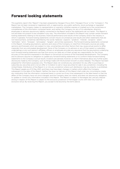## **Forward looking statements**

This quarterly report (the "Report") has been prepared by Hexagon Purus ASA ("Hexagon Purus" or the "Company"). The Report has not been reviewed or registered with, or approved by, any public authority, stock exchange or regulated marketplace. The Company makes no representation or warranty (whether express or implied) as to the correctness or completeness of the information contained herein, and neither the Company nor any of its subsidiaries, directors, employees or advisors assume any liability connected to the Report and/or the statements set out herein. This Report is not and does not purport to be complete in any way. The information included in this Report may contain certain forwardlooking statements relating to the business, financial performance and results of the Company and/or the industry in which it operates. Forward-looking statements concern future circumstances and results and other statements that are not historical facts, sometimes identified by the words "believes", expects", "predicts", "intends", "projects", "plans", "estimates", "aims", "foresees", "anticipates", "targets", and similar expressions. The forward-looking statements contained in this Report, including assumptions, opinions and views of the Company or cited from third party sources are solely opinions and forecasts which are subject to risks, uncertainties and other factors that may cause actual events to differ materially from any anticipated development. None of the Company or its advisors or any of their parent or subsidiary undertakings or any such person's affiliates, officers or employees provides any assurance that the assumptions underlying such forward-looking statements are free from errors nor does any of them accept any responsibility for the future accuracy of the opinions expressed in this Report or the actual occurrence of the forecasted developments. The Company and its advisors assume no obligation to update any forward-looking statements or to conform these forward-looking statements to the Company's actual results. Investors are advised, however, to inform themselves about any further public disclosures made by the Company, such as filings made with the Euronext Growth or press releases. This Report has been prepared for information purposes only. This Report does not constitute any solicitation for any offer to purchase or subscribe any securities and is not an offer or invitation to sell or issue securities for sale in any jurisdiction, including the United States. Distribution of the Report in or into any jurisdiction where such distribution may be unlawful, is prohibited. This Report speaks as of 10 May 2021, and there may have been changes in matters which affect the Company subsequent to the date of this Report. Neither the issue nor delivery of this Report shall under any circumstance create any implication that the information contained herein is correct as of any time subsequent to the date hereof or that the affairs of the Company have not since changed, and the Company does not intend, and does not assume any obligation, to update or correct any information included in this Report. This Report is subject to Norwegian law, and any dispute arising in respect of this Report is subject to the exclusive jurisdiction of Norwegian courts with Oslo City Court as exclusive venue. By receiving this Report, you accept to be bound by the terms above.